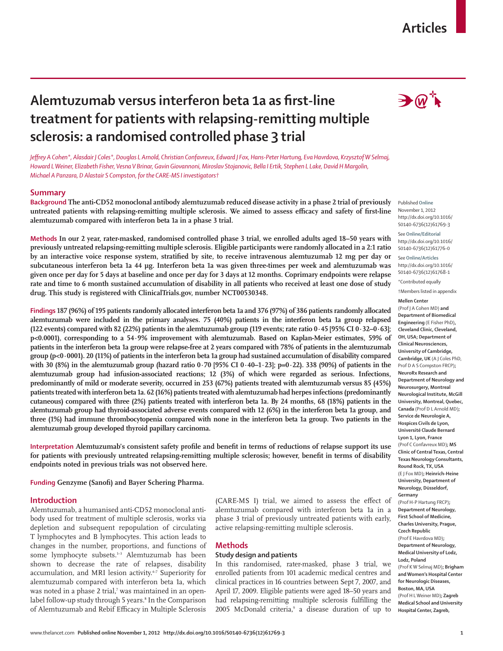## **Articles**

# Alemtuzumab versus interferon beta 1a as first-line **treatment for patients with relapsing-remitting multiple sclerosis: a randomised controlled phase 3 trial**

*Jeff rey A Cohen\*, Alasdair J Coles\*, Douglas L Arnold, Christian Confavreux, Edward J Fox, Hans-Peter Hartung, Eva Havrdova, Krzysztof W Selmaj, Howard L Weiner, Elizabeth Fisher, Vesna V Brinar, Gavin Giovannoni, Miroslav Stojanovic, Bella I Ertik, Stephen L Lake, David H Margolin, Michael A Panzara, D Alastair S Compston, for the CARE-MS I investigators†*

## **Summary**

**Background The anti-CD52 monoclonal antibody alemtuzumab reduced disease activity in a phase 2 trial of previously**  untreated patients with relapsing-remitting multiple sclerosis. We aimed to assess efficacy and safety of first-line **alemtuzumab compared with interferon beta 1a in a phase 3 trial.**

**Methods In our 2 year, rater-masked, randomised controlled phase 3 trial, we enrolled adults aged 18–50 years with previously untreated relapsing-remitting multiple sclerosis. Eligible participants were randomly allocated in a 2:1 ratio**  by an interactive voice response system, stratified by site, to receive intravenous alemtuzumab 12 mg per day or **subcutaneous interferon beta 1a 44 μg. Interferon beta 1a was given three-times per week and alemtuzumab was given once per day for 5 days at baseline and once per day for 3 days at 12 months. Coprimary endpoints were relapse rate and time to 6 month sustained accumulation of disability in all patients who received at least one dose of study drug. This study is registered with ClinicalTrials.gov, number NCT00530348.**

**Findings 187 (96%) of 195 patients randomly allocated interferon beta 1a and 376 (97%) of 386 patients randomly allocated alemtuzumab were included in the primary analyses. 75 (40%) patients in the interferon beta 1a group relapsed (122 events) compared with 82 (22%) patients in the alemtuzumab group (119 events; rate ratio 0·45 [95% CI 0·32–0·63]; p<0.0001), corresponding to a 54·9% improvement with alemtuzumab. Based on Kaplan-Meier estimates, 59% of patients in the interferon beta 1a group were relapse-free at 2 years compared with 78% of patients in the alemtuzumab group (p<0·0001). 20 (11%) of patients in the interferon beta 1a group had sustained accumulation of disability compared with 30 (8%) in the alemtuzumab group (hazard ratio 0·70 [95% CI 0·40–1·23]; p=0·22). 338 (90%) of patients in the alemtuzumab group had infusion-associated reactions; 12 (3%) of which were regarded as serious. Infections, predominantly of mild or moderate severity, occurred in 253 (67%) patients treated with alemtuzumab versus 85 (45%) patients treated with interferon beta 1a. 62 (16%) patients treated with alemtuzumab had herpes infections (predominantly cutaneous) compared with three (2%) patients treated with interferon beta 1a. By 24 months, 68 (18%) patients in the alemtuzumab group had thyroid-associated adverse events compared with 12 (6%) in the interferon beta 1a group, and three (1%) had immune thrombocytopenia compared with none in the interferon beta 1a group. Two patients in the alemtuzumab group developed thyroid papillary carcinoma.**

Interpretation Alemtuzumab's consistent safety profile and benefit in terms of reductions of relapse support its use **for patients with previously untreated relapsing-remitting multiple sclerosis; however, benefit in terms of disability endpoints noted in previous trials was not observed here.**

Funding Genzyme (Sanofi) and Bayer Schering Pharma.

## **Introduction**

Alemtuzumab, a humanised anti-CD52 monoclonal antibody used for treatment of multiple sclerosis, works via depletion and subsequent repopulation of circulating T lymphocytes and B lymphocytes. This action leads to changes in the number, proportions, and functions of some lymphocyte subsets.<sup>1-3</sup> Alemtuzumab has been shown to decrease the rate of relapses, disability accumulation, and MRI lesion activity.<sup>4-7</sup> Superiority for alemtuzumab compared with interferon beta 1a, which was noted in a phase 2 trial,<sup>7</sup> was maintained in an openlabel follow-up study through 5 years.<sup>8</sup> In the Comparison of Alemtuzumab and Rebif Efficacy in Multiple Sclerosis

(CARE-MS I) trial, we aimed to assess the effect of alemtuzumab compared with interferon beta 1a in a phase 3 trial of previously untreated patients with early, active relapsing-remitting multiple sclerosis.

## **Methods**

### **Study design and patients**

In this randomised, rater-masked, phase 3 trial, we enrolled patients from 101 academic medical centres and clinical practices in 16 countries between Sept 7, 2007, and April 17, 2009. Eligible patients were aged 18–50 years and had relapsing-remitting multiple sclerosis fulfilling the 2005 McDonald criteria,<sup>9</sup> a disease duration of up to



Published **Online** November 1, 2012 http://dx.doi.org/10.1016/ S0140-6736(12)61769-3

See **Online/Editorial** http://dx.doi.org/10.1016/ S0140-6736(12)61776-0

See **Online/Articles** http://dx.doi.org/10.1016/ S0140-6736(12)61768-1 \*Contributed equally

†Members listed in appendix

#### **Mellen Center**

(Prof J A Cohen MD) **and Department of Biomedical Engineering** (E Fisher PhD)**, Cleveland Clinic, Cleveland, OH, USA; Department of Clinical Neurosciences, University of Cambridge, Cambridge, UK** (A J Coles PhD, Prof D A S Compston FRCP)**; NeuroRx Research and Department of Neurology and Neurosurgery, Montreal Neurological Institute, McGill University, Montreal, Quebec, Canada** (Prof D L Arnold MD)**; Service de Neurologie A, Hospices Civils de Lyon, Université Claude Bernard Lyon 1, Lyon, France**  (Prof C Confavreux MD)**; MS Clinic of Central Texas, Central Texas Neurology Consultants, Round Rock, TX, USA**  (E J Fox MD)**; Heinrich-Heine University, Department of Neurology, Düsseldorf, Germany**  (Prof H-P Hartung FRCP)**; Department of Neurology, First School of Medicine, Charles University, Prague, Czech Republic**  (Prof E Havrdova MD)**; Department of Neurology, Medical University of Lodz, Lodz, Poland**  (Prof K W Selmaj MD)**; Brigham and Women's Hospital Center for Neurologic Diseases, Boston, MA, USA**  (Prof H L Weiner MD)**; Zagreb Medical School and University Hospital Center, Zagreb,**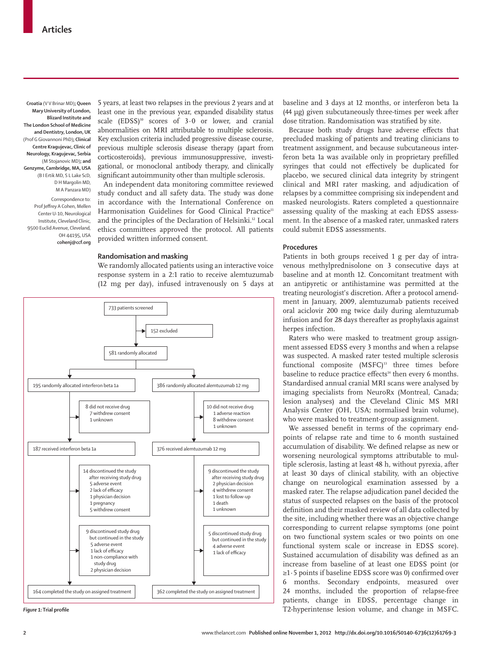**Croatia** (V V Brinar MD)**; Queen Mary University of London, Blizard Institute and The London School of Medicine and Dentistry, London, UK**  (Prof G Giovannoni PhD)**; Clinical Centre Kragujevac, Clinic of Neurology, Kragujevac, Serbia**  (M Stojanovic MD)**; and Genzyme, Cambridge, MA, USA**  (B I Ertik MD, S L Lake ScD, D H Margolin MD, M A Panzara MD)

Correspondence to: Prof Jeffrey A Cohen, Mellen Center U-10, Neurological Institute, Cleveland Clinic, 9500 Euclid Avenue, Cleveland, OH 44195, USA **cohenj@ccf.org**

5 years, at least two relapses in the previous 2 years and at least one in the previous year, expanded disability status scale  $(EDSS)^{10}$  scores of 3.0 or lower, and cranial abnormalities on MRI attributable to multiple sclerosis. Key exclusion criteria included progressive disease course, previous multiple sclerosis disease therapy (apart from corticosteroids), previous immuno suppressive, investigational, or monoclonal antibody therapy, and clinically significant autoimmunity other than multiple sclerosis.

An independent data monitoring committee reviewed study conduct and all safety data. The study was done in accordance with the International Conference on Harmonisation Guidelines for Good Clinical Practice<sup>11</sup> and the principles of the Declaration of Helsinki.<sup>12</sup> Local ethics committees approved the protocol. All patients provided written informed consent.

## **Randomisation and masking**

We randomly allocated patients using an interactive voice response system in a 2:1 ratio to receive alemtuzumab (12 mg per day), infused intravenously on 5 days at



**Figure 1:** Trial profile

baseline and 3 days at 12 months, or interferon beta 1a (44 μg) given subcutaneously three-times per week after dose titration. Randomisation was stratified by site.

Because both study drugs have adverse effects that precluded masking of patients and treating clinicians to treatment assignment, and because subcutaneous interferon beta 1a was available only in proprietary prefilled syringes that could not effectively be duplicated for placebo, we secured clinical data integrity by stringent clinical and MRI rater masking, and adjudication of relapses by a committee comprising six independent and masked neurologists. Raters completed a questionnaire assessing quality of the masking at each EDSS assessment. In the absence of a masked rater, unmasked raters could submit EDSS assessments.

### **Procedures**

Patients in both groups received 1 g per day of intravenous methylprednisolone on 3 consecutive days at baseline and at month 12. Concomitant treatment with an antipyretic or antihistamine was permitted at the treating neurologist's discretion. After a protocol amendment in January, 2009, alemtuzumab patients received oral aciclovir 200 mg twice daily during alemtuzumab infusion and for 28 days thereafter as prophylaxis against herpes infection.

Raters who were masked to treatment group assignment assessed EDSS every 3 months and when a relapse was suspected. A masked rater tested multiple sclerosis functional composite (MSFC)<sup>13</sup> three times before baseline to reduce practice effects<sup>14</sup> then every 6 months. Standardised annual cranial MRI scans were analysed by imaging specialists from NeuroRx (Montreal, Canada; lesion analyses) and the Cleveland Clinic MS MRI Analysis Center (OH, USA; normalised brain volume), who were masked to treatment-group assignment.

We assessed benefit in terms of the coprimary endpoints of relapse rate and time to 6 month sustained accumulation of disability. We defined relapse as new or worsening neurological symptoms attributable to multiple sclerosis, lasting at least 48 h, without pyrexia, after at least 30 days of clinical stability, with an objective change on neurological examination assessed by a masked rater. The relapse adjudication panel decided the status of suspected relapses on the basis of the protocol definition and their masked review of all data collected by the site, including whether there was an objective change corresponding to current relapse symptoms (one point on two functional system scales or two points on one functional system scale or increase in EDSS score). Sustained accumulation of disability was defined as an increase from baseline of at least one EDSS point (or ≥1·5 points if baseline EDSS score was 0) confirmed over 6 months. Secondary endpoints, measured over 24 months, included the proportion of relapse-free patients, change in EDSS, percentage change in T2-hyperintense lesion volume, and change in MSFC.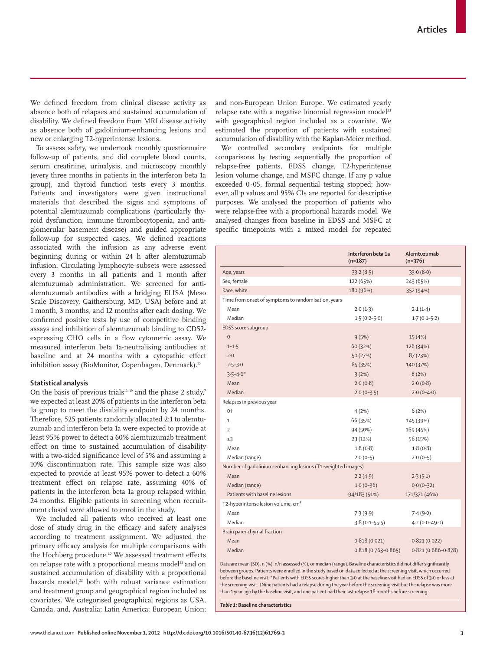We defined freedom from clinical disease activity as absence both of relapses and sustained accumulation of disability. We defined freedom from MRI disease activity as absence both of gadolinium-enhancing lesions and new or enlarging T2-hyperintense lesions.

To assess safety, we undertook monthly questionnaire follow-up of patients, and did complete blood counts, serum creatinine, urinalysis, and microscopy monthly (every three months in patients in the interferon beta 1a group), and thyroid function tests every 3 months. Patients and investigators were given instructional materials that described the signs and symptoms of potential alemtuzumab complications (particularly thyroid dysfunction, immune thrombocytopenia, and antiglomerular basement disease) and guided appropriate follow-up for suspected cases. We defined reactions associated with the infusion as any adverse event beginning during or within 24 h after alemtuzumab infusion. Circulating lymphocyte subsets were assessed every 3 months in all patients and 1 month after alemtuzumab administration. We screened for antialemtuzumab antibodies with a bridging ELISA (Meso Scale Discovery, Gaithersburg, MD, USA) before and at 1 month, 3 months, and 12 months after each dosing. We confirmed positive tests by use of competitive binding assays and inhibition of alemtuzumab binding to CD52 expressing CHO cells in a flow cytometric assay. We measured interferon beta 1a-neutralising antibodies at baseline and at 24 months with a cytopathic effect inhibition assay (BioMonitor, Copenhagen, Denmark).<sup>15</sup>

## **Statistical analysis**

On the basis of previous trials<sup>16-19</sup> and the phase 2 study,<sup>7</sup> we expected at least 20% of patients in the interferon beta 1a group to meet the disability endpoint by 24 months. Therefore, 525 patients randomly allocated 2:1 to alemtuzumab and interferon beta 1a were expected to provide at least 95% power to detect a 60% alemtuzumab treatment effect on time to sustained accumulation of disability with a two-sided significance level of 5% and assuming a 10% discontinuation rate. This sample size was also expected to provide at least 95% power to detect a 60% treatment effect on relapse rate, assuming 40% of patients in the interferon beta 1a group relapsed within 24 months. Eligible patients in screening when recruitment closed were allowed to enrol in the study.

We included all patients who received at least one dose of study drug in the efficacy and safety analyses according to treatment assignment. We adjusted the primary efficacy analysis for multiple comparisons with the Hochberg procedure.<sup>20</sup> We assessed treatment effects on relapse rate with a proportional means model<sup>21</sup> and on sustained accumulation of disability with a proportional hazards model,<sup>22</sup> both with robust variance estimation and treatment group and geographical region included as covariates. We categorised geographical regions as USA, Canada, and, Australia; Latin America; European Union; and non-European Union Europe. We estimated yearly relapse rate with a negative binomial regression model<sup>23</sup> with geographical region included as a covariate. We estimated the proportion of patients with sustained accumulation of disability with the Kaplan-Meier method.

We controlled secondary endpoints for multiple comparisons by testing sequentially the proportion of relapse-free patients, EDSS change, T2-hyperintense lesion volume change, and MSFC change. If any p value exceeded 0·05, formal sequential testing stopped; however, all p values and 95% CIs are reported for descriptive purposes. We analysed the proportion of patients who were relapse-free with a proportional hazards model. We analysed changes from baseline in EDSS and MSFC at specific timepoints with a mixed model for repeated

|                                                             | Interferon beta 1a<br>$(n=187)$ | Alemtuzumab<br>$(n=376)$ |
|-------------------------------------------------------------|---------------------------------|--------------------------|
| Age, years                                                  | 33.2(8.5)                       | 33.0(8.0)                |
| Sex, female                                                 | 122 (65%)                       | 243 (65%)                |
| Race, white                                                 | 180 (96%)                       | 352 (94%)                |
| Time from onset of symptoms to randomisation, years         |                                 |                          |
| Mean                                                        | 2.0(1.3)                        | 2.1(1.4)                 |
| Median                                                      | $1.5(0.2 - 5.0)$                | $1.7(0.1 - 5.2)$         |
| EDSS score subgroup                                         |                                 |                          |
| $\mathsf{O}\xspace$                                         | 9(5%)                           | 15 (4%)                  |
| $1 - 1.5$                                                   | 60 (32%)                        | 126 (34%)                |
| 2.0                                                         | 50 (27%)                        | 87 (23%)                 |
| $2.5 - 3.0$                                                 | 65 (35%)                        | 140 (37%)                |
| $3.5 - 4.0*$                                                | 3(2%)                           | 8(2%)                    |
| Mean                                                        | 2.0(0.8)                        | 2.0(0.8)                 |
| Median                                                      | $2.0(0-3.5)$                    | $2.0(0-4.0)$             |
| Relapses in previous year                                   |                                 |                          |
| $0+$                                                        | 4(2%)                           | 6(2%)                    |
| 1                                                           | 66 (35%)                        | 145 (39%)                |
| $\overline{2}$                                              | 94 (50%)                        | 169 (45%)                |
| $\geq$ 3                                                    | 23 (12%)                        | 56 (15%)                 |
| Mean                                                        | 1.8(0.8)                        | 1.8(0.8)                 |
| Median (range)                                              | $2.0(0-5)$                      | $2.0(0-5)$               |
| Number of gadolinium-enhancing lesions (T1-weighted images) |                                 |                          |
| Mean                                                        | 2.2(4.9)                        | 2.3(5.1)                 |
| Median (range)                                              | $1.0(0-36)$                     | $0.0(0-32)$              |
| Patients with baseline lesions                              | 94/183 (51%)                    | 171/371 (46%)            |
| T2-hyperintense lesion volume, cm <sup>3</sup>              |                                 |                          |
| Mean                                                        | 7.3(9.9)                        | 7.4(9.0)                 |
| Median                                                      | $3.8(0.1 - 55.5)$               | $4.2(0.0-49.0)$          |
| Brain parenchymal fraction                                  |                                 |                          |
| Mean                                                        | 0.818(0.021)                    | 0.821(0.022)             |
| Median                                                      | $0.818(0.763 - 0.865)$          | $0.821(0.686 - 0.878)$   |

Data are mean (SD), n (%), n/n assessed (%), or median (range). Baseline characteristics did not differ significantly between groups. Patients were enrolled in the study based on data collected at the screening visit, which occurred before the baseline visit. \*Patients with EDSS scores higher than 3·0 at the baseline visit had an EDSS of 3·0 or less at the screening visit. †Nine patients had a relapse during the year before the screening visit but the relapse was more than 1 year ago by the baseline visit, and one patient had their last relapse 18 months before screening.

*Table 1:* **Baseline characteristics**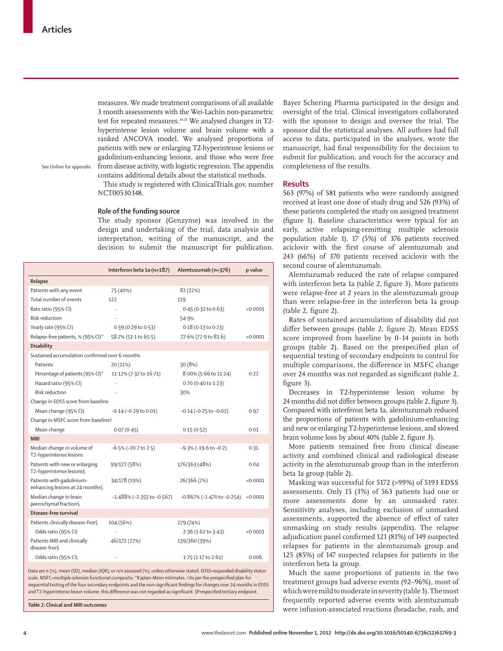measures. We made treatment comparisons of all available 3 month assessments with the Wei-Lachin non-parametric test for repeated measures.<sup>24,25</sup> We analysed changes in T2hyperintense lesion volume and brain volume with a ranked ANCOVA model. We analysed proportions of patients with new or enlarging T2-hyperintense lesions or gadolinium-enhancing lesions, and those who were free from disease activity, with logistic regression. The appendix contains additional details about the statistical methods.

See **Online** for appendix

This study is registered with ClinicalTrials.gov, number NCT00530348.

## **Role of the funding source**

The study sponsor (Genzyme) was involved in the design and undertaking of the trial, data analysis and interpretation, writing of the manuscript, and the decision to submit the manuscript for publication.

|                                                              | Interferon beta 1a (n=187)    | Alemtuzumab (n=376)                 | p value  |
|--------------------------------------------------------------|-------------------------------|-------------------------------------|----------|
| Relapse                                                      |                               |                                     |          |
| Patients with any event                                      | 75 (40%)                      | 82 (22%)                            |          |
| Total number of events                                       | 122                           | 119                                 |          |
| Rate ratio (95% CI)                                          |                               | 0.45 (0.32 to 0.63)                 | < 0.0001 |
| Risk reduction                                               |                               | 54.9%                               |          |
| Yearly rate (95% CI)                                         | $0.39$ (0.29 to 0.53)         | $0.18$ (0.13 to 0.23)               |          |
| Relapse-free patients, % (95% CI)*                           | 58.7% (51.1 to 65.5)          | 77.6% (72.9 to 81.6)                | < 0.0001 |
| <b>Disability</b>                                            |                               |                                     |          |
| Sustained accumulation confirmed over 6 months               |                               |                                     |          |
| Patients                                                     | 20 (11%)                      | 30 (8%)                             |          |
| Percentage of patients (95% CI)*                             | 11.12% (7.32 to 16.71)        | 8.00% (5.66 to 11.24)               | 0.22     |
| Hazard ratio (95% CI)                                        | $\ddot{\phantom{a}}$          | 0.70 (0.40 to 1.23)                 |          |
| Risk reduction                                               |                               | 30%                                 |          |
| Change in EDSS score from baseline                           |                               |                                     |          |
| Mean change (95% CI)                                         | $-0.14$ ( $-0.29$ to $0.01$ ) | $-0.14$ ( $-0.25$ to $-0.02$ )      | 0.97     |
| Change in MSFC score from baselinet                          |                               |                                     |          |
| Mean change                                                  | 0.07(0.45)                    | 0.15(0.52)                          | 0.01     |
| <b>MRI</b>                                                   |                               |                                     |          |
| Median change in volume of<br>T2-hyperintense lesions        | $-6.5\%$ (-20.7 to 2.5)       | $-9.3\%$ (-19.6 to -0.2)            | 0.31     |
| Patients with new or enlarging<br>T2-hyperintense lesions§   | 99/172 (58%)                  | 176/363 (48%)                       | 0.04     |
| Patients with gadolinium-<br>enhancing lesions at 24 months§ | 34/178 (19%)                  | 26/366 (7%)                         | < 0.0001 |
| Median change in brain<br>parenchymal fraction§              | $-1.488\%$ (-2.355 to -0.567) | $-0.867\%$ ( $-1.470$ to $-0.254$ ) | < 0.0001 |
| Disease-free survival                                        |                               |                                     |          |
| Patients clinically disease-free§                            | 104 (56%)                     | 279 (74%)                           |          |
| Odds ratio (95% CI)                                          |                               | 2.36 (1.62 to 3.43)                 | < 0.0001 |
| Patients MRI and clinically<br>disease-free                  | 46/172 (27%)                  | 139/360 (39%)                       |          |
| Odds ratio (95% CI)                                          |                               | $1.75(1.17 \text{ to } 2.61)$       | 0.006    |

Data are n (%), mean (SD), median (IQR), or n/n assessed (%), unless otherwise stated. EDSS=expanded disability status scale. MSFC=multiple sclerosis functional composite. \*Kaplan-Meier estimates. †As per the prespecified plan for sequential testing of the four secondary endpoints and the non-significant findings for changes over 24 months in EDSS and T2-hyperintense lesion volume, this difference was not regarded as significant. §Prespecified tertiary endpoint.

*Table 2:* **Clinical and MRI outcomes**

Bayer Schering Pharma participated in the design and oversight of the trial. Clinical investigators collaborated with the sponsor to design and oversee the trial. The sponsor did the statistical analyses. All authors had full access to data, participated in the analyses, wrote the manuscript, had final responsibility for the decision to submit for publication, and vouch for the accuracy and completeness of the results.

#### **Results**

563 (97%) of 581 patients who were randomly assigned received at least one dose of study drug and 526 (93%) of these patients completed the study on assigned treatment (figure 1). Baseline characteristics were typical for an early, active relapsing-remitting multiple sclerosis population (table 1). 17 (5%) of 376 patients received aciclovir with the first course of alemtuzumab and 243 (66%) of 370 patients received aciclovir with the second course of alemtuzumab.

Alemtuzumab reduced the rate of relapse compared with interferon beta 1a (table 2, figure 3). More patients were relapse-free at 2 years in the alemtuzumab group than were relapse-free in the interferon beta 1a group (table 2, figure 2).

Rates of sustained accumulation of disability did not differ between groups (table 2, figure 2). Mean EDSS score improved from baseline by 0·14 points in both groups (table 2). Based on the prespecified plan of sequential testing of secondary endpoints to control for multiple comparisons, the difference in MSFC change over 24 months was not regarded as significant (table 2, figure 3).

Decreases in T2-hyperintense lesion volume by 24 months did not differ between groups (table 2, figure 3). Compared with interferon beta 1a, alemtuzumab reduced the proportions of patients with gadolinium-enhancing and new or enlarging T2-hyperintense lesions, and slowed brain volume loss by about 40% (table 2, figure 3).

More patients remained free from clinical disease activity and combined clinical and radiological disease activity in the alemtuzumab group than in the interferon beta 1a group (table 2).

Masking was successful for 5172 (>99%) of 5193 EDSS assessments. Only 15 (3%) of 563 patients had one or more assessments done by an unmasked rater. Sensitivity analyses, including exclusion of unmasked assessments, supported the absence of effect of rater unmasking on study results (appendix). The relapse adjudication panel confirmed 121 (81%) of 149 suspected relapses for patients in the alemtuzumab group and 125 (85%) of 147 suspected relapses for patients in the interferon beta 1a group.

Much the same proportions of patients in the two treatment groups had adverse events (92–96%), most of which were mild to moderate in severity (table 3). The most frequently reported adverse events with alemtuzumab were infusion-associated reactions (headache, rash, and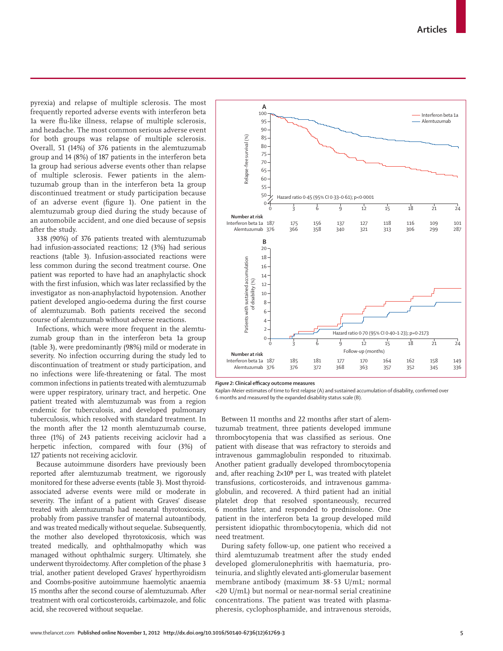pyrexia) and relapse of multiple sclerosis. The most frequently reported adverse events with interferon beta 1a were flu-like illness, relapse of multiple sclerosis, and headache. The most common serious adverse event for both groups was relapse of multiple sclerosis. Overall, 51 (14%) of 376 patients in the alemtuzumab group and 14 (8%) of 187 patients in the interferon beta 1a group had serious adverse events other than relapse of multiple sclerosis. Fewer patients in the alemtuzumab group than in the interferon beta 1a group discontinued treatment or study participation because of an adverse event (figure 1). One patient in the alemtuzumab group died during the study because of an automobile accident, and one died because of sepsis after the study.

338 (90%) of 376 patients treated with alemtuzumab had infusion-associated reactions; 12 (3%) had serious reactions (table 3). Infusion-associated reactions were less common during the second treatment course. One patient was reported to have had an anaphylactic shock with the first infusion, which was later reclassified by the investigator as non-anaphylactoid hypotension. Another patient developed angio-oedema during the first course of alemtuzumab. Both patients received the second course of alemtuzumab without adverse reactions.

Infections, which were more frequent in the alemtuzumab group than in the interferon beta 1a group (table 3), were predominantly (98%) mild or moderate in severity. No infection occurring during the study led to discontinuation of treatment or study participation, and no infections were life-threatening or fatal. The most common infections in patients treated with alemtuzumab were upper respiratory, urinary tract, and herpetic. One patient treated with alemtuzumab was from a region endemic for tuberculosis, and developed pulmonary tuberculosis, which resolved with standard treatment. In the month after the 12 month alemtuzumab course, three (1%) of 243 patients receiving aciclovir had a herpetic infection, compared with four (3%) of 127 patients not receiving aciclovir.

Because autoimmune disorders have previously been reported after alemtuzumab treatment, we rigorously monitored for these adverse events (table 3). Most thyroidassociated adverse events were mild or moderate in severity. The infant of a patient with Graves' disease treated with alemtuzumab had neonatal thyrotoxicosis, probably from passive transfer of maternal autoantibody, and was treated medically without sequelae. Subsequently, the mother also developed thyrotoxicosis, which was treated medically, and ophthalmopathy which was managed without ophthalmic surgery. Ultimately, she underwent thyroidectomy. After completion of the phase 3 trial, another patient developed Graves' hyperthyroidism and Coombs-positive autoimmune haemolytic anaemia 15 months after the second course of alemtuzumab. After treatment with oral corticosteroids, carbimazole, and folic acid, she recovered without sequelae.



**Figure 2: Clinical efficacy outcome measures** 

Kaplan-Meier estimates of time to first relapse (A) and sustained accumulation of disability, confirmed over 6 months and measured by the expanded disability status scale (B).

Between 11 months and 22 months after start of alemtuzumab treatment, three patients developed immune thrombocytopenia that was classified as serious. One patient with disease that was refractory to steroids and intravenous gammaglobulin responded to rituximab. Another patient gradually developed thrombocytopenia and, after reaching  $2\times10^9$  per L, was treated with platelet transfusions, corticosteroids, and intravenous gammaglobulin, and recovered. A third patient had an initial platelet drop that resolved spontaneously, recurred 6 months later, and responded to prednisolone. One patient in the interferon beta 1a group developed mild persistent idiopathic thrombocytopenia, which did not need treatment.

During safety follow-up, one patient who received a third alemtuzumab treatment after the study ended developed glomerulonephritis with haematuria, proteinuria, and slightly elevated anti-glomerular basement membrane antibody (maximum 38·53 U/mL; normal <20 U/mL) but normal or near-normal serial creatinine concentrations. The patient was treated with plasmapheresis, cyclophosphamide, and intravenous steroids,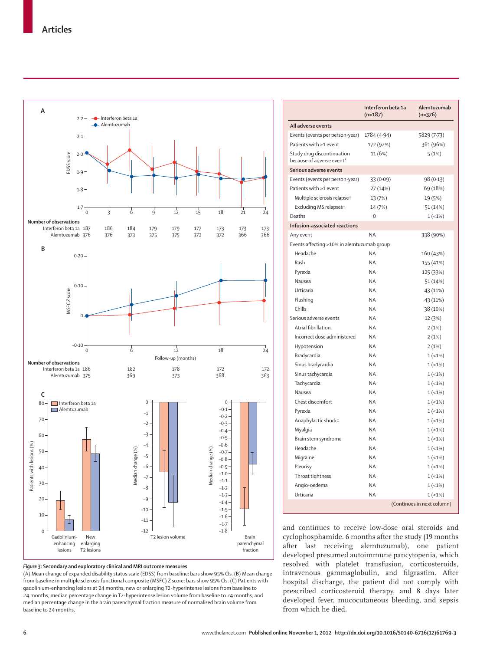



(A) Mean change of expanded disability status scale (EDSS) from baseline; bars show 95% CIs. (B) Mean change from baseline in multiple sclerosis functional composite (MSFC) *Z* score; bars show 95% CIs. (C) Patients with gadolinium-enhancing lesions at 24 months, new or enlarging T2-hyperintense lesions from baseline to 24 months, median percentage change in T2-hyperintense lesion volume from baseline to 24 months, and median percentage change in the brain parenchymal fraction measure of normalised brain volume from baseline to 24 months.

|                                                         | Interferon beta 1a | Alemtuzumab                |
|---------------------------------------------------------|--------------------|----------------------------|
|                                                         | $(n=187)$          | $(n=376)$                  |
| All adverse events                                      |                    |                            |
| Events (events per person-year)                         | 1784 (4.94)        | 5829 (7.73)                |
| Patients with ≥1 event                                  | 172 (92%)          | 361 (96%)                  |
| Study drug discontinuation<br>because of adverse event* | 11 (6%)            | 5(1%)                      |
| Serious adverse events                                  |                    |                            |
| Events (events per person-year)                         | 33(0.09)           | 98(0.13)                   |
| Patients with ≥1 event                                  | 27 (14%)           | 69 (18%)                   |
| Multiple sclerosis relapse†                             | 13 (7%)            | 19 (5%)                    |
| Excluding MS relapsest                                  | 14 (7%)            | 51 (14%)                   |
| Deaths                                                  | $\mathbf 0$        | $1(-1%)$                   |
| Infusion-associated reactions                           |                    |                            |
| Any event                                               | <b>NA</b>          | 338 (90%)                  |
| Events affecting >10% in alemtuzumab group              |                    |                            |
| Headache                                                | ΝA                 | 160 (43%)                  |
| Rash                                                    | <b>NA</b>          | 155 (41%)                  |
| Pyrexia                                                 | <b>NA</b>          | 125 (33%)                  |
| Nausea                                                  | <b>NA</b>          | 51 (14%)                   |
| Urticaria                                               | <b>NA</b>          | 43 (11%)                   |
| Flushing                                                | <b>NA</b>          | 43 (11%)                   |
| Chills                                                  | <b>NA</b>          | 38 (10%)                   |
| Serious adverse events                                  | <b>NA</b>          | 12 (3%)                    |
| Atrial fibrillation                                     | <b>NA</b>          | 2(1%)                      |
| Incorrect dose administered                             | <b>NA</b>          | 2(1%)                      |
| Hypotension                                             | <b>NA</b>          | 2(1%)                      |
| Bradycardia                                             | <b>NA</b>          | $1(-1%)$                   |
| Sinus bradycardia                                       | <b>NA</b>          | $1(-1%)$                   |
| Sinus tachycardia                                       | <b>NA</b>          | $1(-1%)$                   |
| Tachycardia                                             | <b>NA</b>          | $1(-1%)$                   |
| Nausea                                                  | <b>NA</b>          | $1(-1%)$                   |
| Chest discomfort                                        | NA                 | $1(-1%)$                   |
| Pyrexia                                                 | <b>NA</b>          | $1(-1%)$                   |
| Anaphylactic shock‡                                     | <b>NA</b>          | $1(-1%)$                   |
| Myalqia                                                 | <b>NA</b>          | $1(-1%)$                   |
| Brain stem syndrome                                     | <b>NA</b>          | $1(-1%)$                   |
| Headache                                                | <b>NA</b>          | $1(-1%)$                   |
| Migraine                                                | <b>NA</b>          | $1(-1%)$                   |
| Pleurisy                                                | <b>NA</b>          | $1(-1%)$                   |
| Throat tightness                                        | <b>NA</b>          | $1(-1%)$                   |
| Angio-oedema                                            | NA                 | $1(-1%)$                   |
| Urticaria                                               | <b>NA</b>          | $1(-1%)$                   |
|                                                         |                    | (Continues in next column) |

and continues to receive low-dose oral steroids and cyclo phosphamide. 6 months after the study (19 months after last receiving alemtuzumab), one patient developed presumed autoimmune pancytopenia, which resolved with platelet transfusion, corticosteroids, intravenous gammaglobulin, and filgrastim. After hospital discharge, the patient did not comply with prescribed corticosteroid therapy, and 8 days later developed fever, mucocutaneous bleeding, and sepsis from which he died.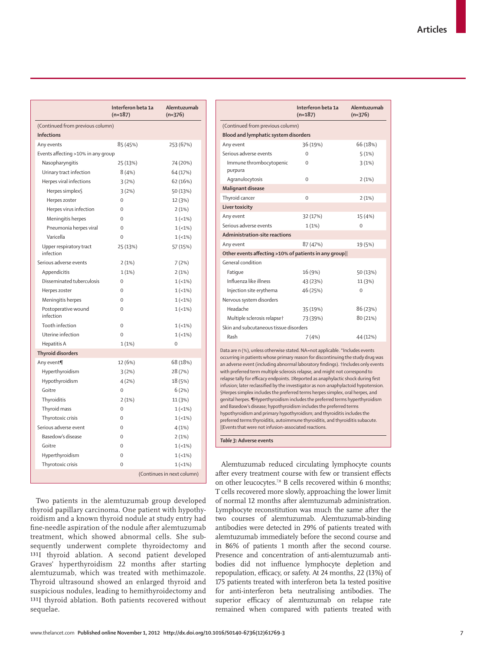|                                      | Interferon beta 1a<br>$(n=187)$ | Alemtuzumab<br>$(n=376)$   |
|--------------------------------------|---------------------------------|----------------------------|
| (Continued from previous column)     |                                 |                            |
| <b>Infections</b>                    |                                 |                            |
| Any events                           | 85 (45%)                        | 253 (67%)                  |
| Events affecting >10% in any group   |                                 |                            |
| Nasopharyngitis                      | 25 (13%)                        | 74 (20%)                   |
| Urinary tract infection              | 8(4%)                           | 64 (17%)                   |
| Herpes viral infections              | 3(2%)                           | 62 (16%)                   |
| Herpes simplex§                      | 3(2%)                           | 50 (13%)                   |
| Herpes zoster                        | 0                               | 12 (3%)                    |
| Herpes virus infection               | 0                               | 2(1%)                      |
| Meningitis herpes                    | $\Omega$                        | $1(-1%)$                   |
| Pneumonia herpes viral               | $\mathbf 0$                     | $1(-1%)$                   |
| Varicella                            | $\Omega$                        | $1(-1%)$                   |
| Upper respiratory tract<br>infection | 25 (13%)                        | 57 (15%)                   |
| Serious adverse events               | 2(1%)                           | 7(2%)                      |
| Appendicitis                         | 1(1%)                           | 2(1%)                      |
| Disseminated tuberculosis            | $\Omega$                        | $1(-1%)$                   |
| Herpes zoster                        | $\Omega$                        | $1(-1%)$                   |
| Meningitis herpes                    | $\Omega$                        | $1(-1%)$                   |
| Postoperative wound<br>infection     | 0                               | $1(-1%)$                   |
| <b>Tooth infection</b>               | 0                               | $1(-1%)$                   |
| Uterine infection                    | 0                               | $1(-1%)$                   |
| Hepatitis A                          | 1(1%)                           | $\Omega$                   |
| <b>Thyroid disorders</b>             |                                 |                            |
| Any event¶                           | 12 (6%)                         | 68 (18%)                   |
| Hyperthyroidism                      | 3(2%)                           | 28 (7%)                    |
| Hypothyroidism                       | 4(2%)                           | 18 (5%)                    |
| Goitre                               | 0                               | 6(2%)                      |
| Thyroiditis                          | 2(1%)                           | 11 (3%)                    |
| Thyroid mass                         | 0                               | 1(1%                       |
| Thyrotoxic crisis                    | $\Omega$                        | $1(-1%)$                   |
| Serious adverse event                | 0                               | 4(1%)                      |
| Basedow's disease                    | $\Omega$                        | 2(1%)                      |
| Goitre                               | $\Omega$                        | $1(-1%)$                   |
| Hyperthyroidism                      | 0                               | $1(-1%)$                   |
| Thyrotoxic crisis                    | $\Omega$                        | $1(-1%)$                   |
|                                      |                                 | (Continues in next column) |

Two patients in the alemtuzumab group developed thyroid papillary carcinoma. One patient with hypothyroidism and a known thyroid nodule at study entry had fine-needle aspiration of the nodule after alemtuzumab treatment, which showed abnormal cells. She subsequently underwent complete thyroidectomy and 131I thyroid ablation. A second patient developed Graves' hyperthyroidism 22 months after starting alemtuzumab, which was treated with methimazole. Thyroid ultrasound showed an enlarged thyroid and suspicious nodules, leading to hemithyroidectomy and 131I thyroid ablation. Both patients recovered without sequelae.

|                                                      | Interferon beta 1a<br>$(n=187)$ | Alemtuzumab<br>$(n=376)$ |
|------------------------------------------------------|---------------------------------|--------------------------|
| (Continued from previous column)                     |                                 |                          |
| Blood and lymphatic system disorders                 |                                 |                          |
| Any event                                            | 36 (19%)                        | 66 (18%)                 |
| Serious adverse events                               | $\Omega$                        | 5(1%)                    |
| Immune thrombocytopenic<br>purpura                   | $\Omega$                        | 3(1%)                    |
| Agranulocytosis                                      | $\Omega$                        | 2(1%)                    |
| Malignant disease                                    |                                 |                          |
| Thyroid cancer                                       | $\Omega$                        | 2(1%)                    |
| Liver toxicity                                       |                                 |                          |
| Any event                                            | 32 (17%)                        | 15 (4%)                  |
| Serious adverse events                               | 1(1%)                           | $\Omega$                 |
| <b>Administration-site reactions</b>                 |                                 |                          |
| Any event                                            | 87 (47%)                        | 19 (5%)                  |
| Other events affecting >10% of patients in any group |                                 |                          |
| General condition                                    |                                 |                          |
| Fatique                                              | 16 (9%)                         | 50 (13%)                 |
| Influenza like illness                               | 43 (23%)                        | 11 (3%)                  |
| Injection site erythema                              | 46 (25%)                        | $\Omega$                 |
| Nervous system disorders                             |                                 |                          |
| Headache                                             | 35 (19%)                        | 86 (23%)                 |
| Multiple sclerosis relapse†                          | 73 (39%)                        | 80 (21%)                 |
| Skin and subcutaneous tissue disorders               |                                 |                          |
| Rash                                                 | 7(4%)                           | 44 (12%)                 |

occurring in patients whose primary reason for discontinuing the study drug was an adverse event (including abnormal laboratory findings). †Includes only events with preferred term multiple sclerosis relapse, and might not correspond to relapse tally for efficacy endpoints. ‡Reported as anaphylactic shock during first infusion; later reclassified by the investigator as non-anaphylactoid hypotension. §Herpes simplex includes the preferred terms herpes simplex, oral herpes, and genital herpes. ¶Hyperthyroidism includes the preferred terms hyperthyroidism and Basedow's disease; hypothyroidism includes the preferred terms hypothyroidism and primary hypothyroidism; and thyroiditis includes the preferred terms thyroiditis, autoimmune thyroiditis, and thyroiditis subacute. ||Events that were not infusion-associated reactions.

*Table 3:* **Adverse events**

Alemtuzumab reduced circulating lymphocyte counts after every treatment course with few or transient effects on other leucocytes.<sup>78</sup> B cells recovered within 6 months; T cells recovered more slowly, approaching the lower limit of normal 12 months after alemtuzumab administration. Lymphocyte reconstitution was much the same after the two courses of alemtuzumab. Alemtuzumab-binding antibodies were detected in 29% of patients treated with alemtuzumab immediately before the second course and in 86% of patients 1 month after the second course. Presence and concentration of anti-alemtuzumab antibodies did not influence lymphocyte depletion and repopulation, efficacy, or safety. At 24 months, 22 (13%) of 175 patients treated with interferon beta 1a tested positive for anti-interferon beta neutralising antibodies. The superior efficacy of alemtuzumab on relapse rate remained when compared with patients treated with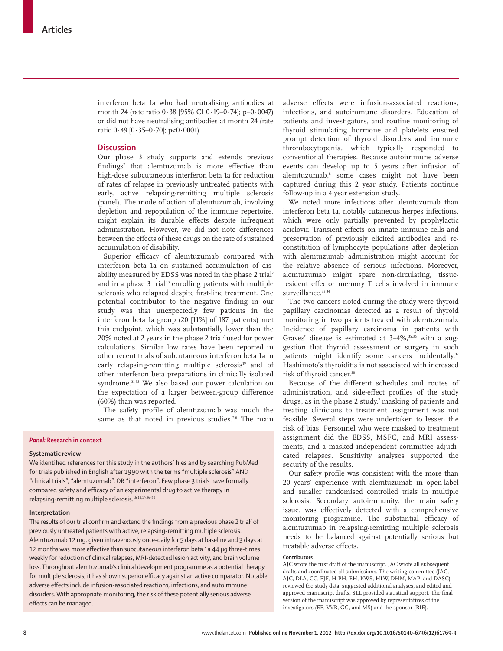interferon beta 1a who had neutralising antibodies at month 24 (rate ratio 0·38 [95% CI 0·19–0·74]; p=0·0047) or did not have neutralising antibodies at month 24 (rate ratio  $0.49$  [ $0.35-0.70$ ]; p< $0.0001$ ).

## **Discussion**

Our phase 3 study supports and extends previous findings<sup>7</sup> that alemtuzumab is more effective than high-dose subcutaneous interferon beta 1a for reduction of rates of relapse in previously untreated patients with early, active relapsing-remitting multiple sclerosis (panel). The mode of action of alemtuzumab, involving depletion and repopulation of the immune repertoire, might explain its durable effects despite infrequent administration. However, we did not note differences between the effects of these drugs on the rate of sustained accumulation of disability.

Superior efficacy of alemtuzumab compared with interferon beta 1a on sustained accumulation of disability measured by EDSS was noted in the phase 2 trial<sup>7</sup> and in a phase 3 trial<sup>30</sup> enrolling patients with multiple sclerosis who relapsed despite first-line treatment. One potential contributor to the negative finding in our study was that unexpectedly few patients in the interferon beta 1a group (20 [11%] of 187 patients) met this endpoint, which was substantially lower than the 20% noted at 2 years in the phase 2 trial7 used for power calculations. Similar low rates have been reported in other recent trials of subcutaneous interferon beta 1a in early relapsing-remitting multiple sclerosis<sup>19</sup> and of other interferon beta preparations in clinically isolated syndrome.<sup>31,32</sup> We also based our power calculation on the expectation of a larger between-group difference (60%) than was reported.

The safety profile of alemtuzumab was much the same as that noted in previous studies.<sup>7,8</sup> The main

#### *Panel:* **Research in context**

#### **Systematic review**

We identified references for this study in the authors' files and by searching PubMed for trials published in English after 1990 with the terms "multiple sclerosis" AND "clinical trials", "alemtuzumab", OR "interferon". Few phase 3 trials have formally compared safety and efficacy of an experimental drug to active therapy in relapsing-remitting multiple sclerosis.16,18,19,26–29

#### **Interpretation**

The results of our trial confirm and extend the findings from a previous phase 2 trial<sup>7</sup> of previously untreated patients with active, relapsing-remitting multiple sclerosis. Alemtuzumab 12 mg, given intravenously once-daily for 5 days at baseline and 3 days at 12 months was more effective than subcutaneous interferon beta 1a  $44$  µg three-times weekly for reduction of clinical relapses, MRI-detected lesion activity, and brain volume loss. Throughout alemtuzumab's clinical development programme as a potential therapy for multiple sclerosis, it has shown superior efficacy against an active comparator. Notable adverse effects include infusion-associated reactions, infections, and autoimmune disorders. With appropriate monitoring, the risk of these potentially serious adverse effects can be managed.

adverse effects were infusion-associated reactions, infections, and autoimmune disorders. Education of patients and investigators, and routine monitoring of thyroid stimulating hormone and platelets ensured prompt detection of thyroid disorders and immune thrombocytopenia, which typically responded to conventional therapies. Because autoimmune adverse events can develop up to 5 years after infusion of alemtuzumab,8 some cases might not have been captured during this 2 year study. Patients continue follow-up in a 4 year extension study.

We noted more infections after alemtuzumab than interferon beta 1a, notably cutaneous herpes infections, which were only partially prevented by prophylactic aciclovir. Transient effects on innate immune cells and preservation of previously elicited antibodies and reconstitution of lymphocyte populations after depletion with alemtuzumab administration might account for the relative absence of serious infections. Moreover, alemtuzumab might spare non-circulating, tissueresident effector memory T cells involved in immune surveillance.<sup>33,34</sup>

The two cancers noted during the study were thyroid papillary carcinomas detected as a result of thyroid monitoring in two patients treated with alemtuzumab. Incidence of papillary carcinoma in patients with Graves' disease is estimated at 3-4%,<sup>35,36</sup> with a suggestion that thyroid assessment or surgery in such patients might identify some cancers incidentally.<sup>37</sup> Hashimoto's thyroiditis is not associated with increased risk of thyroid cancer.<sup>38</sup>

Because of the different schedules and routes of administration, and side-effect profiles of the study drugs, as in the phase 2 study,<sup>7</sup> masking of patients and treating clinicians to treatment assignment was not feasible. Several steps were undertaken to lessen the risk of bias. Personnel who were masked to treatment assignment did the EDSS, MSFC, and MRI assessments, and a masked independent committee adjudicated relapses. Sensitivity analyses supported the security of the results.

Our safety profile was consistent with the more than 20 years' experience with alemtuzumab in open-label and smaller randomised controlled trials in multiple sclerosis. Secondary autoimmunity, the main safety issue, was effectively detected with a comprehensive monitoring programme. The substantial efficacy of alemtuzumab in relapsing-remitting multiple sclerosis needs to be balanced against potentially serious but treatable adverse effects.

#### **Contributors**

AJC wrote the first draft of the manuscript. JAC wrote all subsequent drafts and coordinated all submissions. The writing committee (JAC, AJC, DLA, CC, EJF, H-PH, EH, KWS, HLW, DHM, MAP, and DASC) reviewed the study data, suggested additional analyses, and edited and approved manuscript drafts. SLL provided statistical support. The final version of the manuscript was approved by representatives of the investigators (EF, VVB, GG, and MS) and the sponsor (BIE).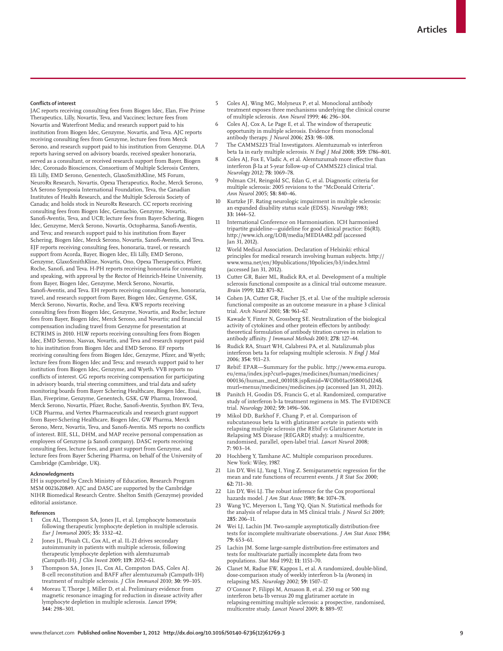#### **Conflicts of interest**

JAC reports receiving consulting fees from Biogen Idec, Elan, Five Prime Therapeutics, Lilly, Novartis, Teva, and Vaccinex; lecture fees from Novartis and Waterfront Media; and research support paid to his institution from Biogen Idec, Genzyme, Novartis, and Teva. AJC reports receiving consulting fees from Genzyme, lecture fees from Merck Serono, and research support paid to his institution from Genzyme. DLA reports having served on advisory boards, received speaker honoraria, served as a consultant, or received research support from Bayer, Biogen Idec, Coronado Biosciences, Consortium of Multiple Sclerosis Centers, Eli Lilly, EMD Serono, Genentech, GlaxoSmithKline, MS Forum, NeuroRx Research, Novartis, Opexa Therapeutics, Roche, Merck Serono, SA Serono Symposia International Foundation, Teva, the Canadian Institutes of Health Research, and the Multiple Sclerosis Society of Canada; and holds stock in NeuroRx Research. CC reports receiving consulting fees from Biogen Idec, Gemacbio, Genzyme, Novartis, Sanofi -Aventis, Teva, and UCB; lecture fees from Bayer-Schering, Biogen Idec, Genzyme, Merck Serono, Novartis, Octopharma, Sanofi -Aventis, and Teva; and research support paid to his institution from Bayer Schering, Biogen Idec, Merck Serono, Novartis, Sanofi -Aventis, and Teva. EJF reports receiving consulting fees, honoraria, travel, or research support from Acorda, Bayer, Biogen Idec, Eli Lilly, EMD Serono, Genzyme, GlaxoSmithKline, Novartis, Ono, Opexa Therapeutics, Pfizer, Roche, Sanofi, and Teva. H-PH reports receiving honoraria for consulting and speaking, with approval by the Rector of Heinrich-Heine University, from Bayer, Biogen Idec, Genzyme, Merck Serono, Novartis, Sanofi -Aventis, and Teva. EH reports receiving consulting fees, honoraria, travel, and research support from Bayer, Biogen Idec, Genzyme, GSK, Merck Serono, Novartis, Roche, and Teva. KWS reports receiving consulting fees from Biogen Idec, Genzyme, Novartis, and Roche; lecture fees from Bayer, Biogen Idec, Merck Serono, and Novartis; and financial compensation including travel from Genzyme for presentation at ECTRIMS in 2010. HLW reports receiving consulting fees from Biogen Idec, EMD Serono, Nasvax, Novartis, and Teva and research support paid to his institution from Biogen Idec and EMD Serono. EF reports receiving consulting fees from Biogen Idec, Genzyme, Pfizer, and Wyeth; lecture fees from Biogen Idec and Teva; and research support paid to her institution from Biogen Idec, Genzyme, and Wyeth. VVB reports no conflicts of interest. GG reports receiving compensation for participating in advisory boards, trial steering committees, and trial data and safety monitoring boards from Bayer Schering Healthcare, Biogen Idec, Eisai, Elan, Fiveprime, Genzyme, Genentech, GSK, GW Pharma, Ironwood, Merck Serono, Novartis, Pfizer, Roche, Sanofi-Aventis, Synthon BV, Teva, UCB Pharma, and Vertex Pharmaceuticals and research grant support from Bayer-Schering Healthcare, Biogen Idec, GW Pharma, Merck Serono, Merz, Novartis, Teva, and Sanofi-Aventis. MS reports no conflicts of interest. BIE, SLL, DHM, and MAP receive personal compensation as employees of Genzyme (a Sanofi company). DASC reports receiving consulting fees, lecture fees, and grant support from Genzyme, and lecture fees from Bayer Schering Pharma, on behalf of the University of Cambridge (Cambridge, UK).

#### **Acknowledgments**

EH is supported by Czech Ministry of Education, Research Program MSM 0021620849. AJC and DASC are supported by the Cambridge NIHR Biomedical Research Centre. Shelton Smith (Genzyme) provided editorial assistance.

#### **References**

- Cox AL, Thompson SA, Jones JL, et al. Lymphocyte homeostasis following therapeutic lymphocyte depletion in multiple sclerosis. *Eur J Immunol* 2005; **35:** 3332–42.
- Jones JL, Phuah CL, Cox AL, et al. IL-21 drives secondary autoimmunity in patients with multiple sclerosis, following therapeutic lymphocyte depletion with alemtuzumab (Campath-1H). *J Clin Invest* 2009; **119:** 2052–61.
- Thompson SA, Jones JL, Cox AL, Compston DAS, Coles AJ. B-cell reconstitution and BAFF after alemtuzumab (Campath-1H) treatment of multiple sclerosis. *J Clin Immunol* 2010; **30:** 99–105.
- Moreau T, Thorpe J, Miller D, et al. Preliminary evidence from magnetic resonance imaging for reduction in disease activity after lymphocyte depletion in multiple sclerosis. *Lancet* 1994; **344:** 298–301.
- 5 Coles AJ, W ing MG, Molyneux P, et al. Monoclonal antibody treatment exposes three mechanisms underlying the clinical course of multiple sclerosis. *Ann Neurol* 1999; **46:** 296–304.
- Coles AJ, Cox A, Le Page E, et al. The window of therapeutic opportunity in multiple sclerosis. Evidence from monoclonal antibody therapy. *J Neurol* 2006; **253:** 98–108.
- The CAMMS223 Trial Investigators. Alemtuzumab vs interferon beta 1a in early multiple sclerosis. *N Engl J Med* 2008; **359:** 1786–801.
- Coles AJ, Fox E, Vladic A, et al. Alemtuzumab more effective than interferon β-1a at 5-year follow-up of CAMMS223 clinical trial. *Neurology* 2012; **78:** 1069–78.
- 9 Polman CH, Reingold SC, Edan G, et al. Diagnostic criteria for multiple sclerosis: 2005 revisions to the "McDonald Criteria". *Ann Neurol* 2005; **58:** 840–46.
- 10 Kurtzke JF. Rating neurologic impairment in multiple sclerosis: an expanded disability status scale (EDSS). *Neurology* 1983; **33:** 1444–52.
- 11 International Conference on Harmonisation. ICH harmonised tripartite guideline—guideline for good clinical practice: E6(R1). http://www.ich.org/LOB/media/MEDIA482.pdf (accessed Jan 31, 2012).
- World Medical Association. Declaration of Helsinki: ethical principles for medical research involving human subjects. http:// www.wma.net/en/30publications/10policies/b3/index.html (accessed Jan 31, 2012).
- 13 Cutter GR, Baier ML, Rudick RA, et al. Development of a multiple sclerosis functional composite as a clinical trial outcome measure. *Brain* 1999; **122:** 871–82.
- 14 Cohen JA, Cutter GR, Fischer JS, et al. Use of the multiple sclerosis functional composite as an outcome measure in a phase 3 clinical trial. *Arch Neurol* 2001; **58:** 961–67.
- Kawade Y, Finter N, Grossberg SE. Neutralization of the biological activity of cytokines and other protein effectors by antibody: theoretical formulation of antibody titration curves in relation to antibody affinity. *J Immunol Methods* 2003; 278: 127-44.
- 16 Rudick RA, Stuart WH, Calabresi PA, et al. Natalizumab plus interferon beta 1a for relapsing multiple sclerosis. *N Engl J Med* 2006; **354:** 911–23.
- 17 Rebif: EPAR—Sum mary for the public. http://www.ema.europa. eu/ema/index.jsp?curl=pages/medicines/human/medicines/ 000136/human\_med\_001018.jsp&mid= WC0b01ac058001d124& murl= menus/medicines/medicines.jsp (accessed Jan 31, 2012).
- Panitch H, Goodin DS, Francis G, et al. Randomized, comparative study of interferon b-1a treatment regimens in MS. The EVIDENCE trial. *Neurology* 2002; **59:** 1496–506.
- Mikol DD, Barkhof F, Chang P, et al. Comparison of subcutaneous beta 1a with glatiramer acetate in patients with relapsing multiple sclerosis (the REbif *vs* Glatiramer Acetate in Relapsing MS Disease [REGARD] study): a multicentre, randomised, parallel, open-label trial. *Lancet Neurol* 2008; **7:** 903–14.
- 20 Hochberg Y, Tamhane AC. Multiple comparison procedures. New York: Wiley, 1987.
- 21 Lin DY, Wei LJ, Yang I, Ying Z. Semiparametric regression for the mean and rate functions of recurrent events. *J R Stat Soc* 2000; **62:** 711–30.
- 22 Lin DY, Wei LJ. The robust inference for the Cox proportional hazards model. *J Am Stat Assoc* 1989; **84:** 1074–78.
- 23 Wang YC, Meyerson L, Tang YQ, Qian N. Statistical methods for the analysis of relapse data in MS clinical trials. *J Neurol Sci* 2009; **285:** 206–11.
- 24 Wei LJ, Lachin JM. Two-sample asymptotically distribution-free tests for incomplete multivariate observations. *J Am Stat Assoc* 1984; **79:** 653–61.
- 25 Lachin JM. Some large-sample distribution-free estimators and tests for multivariate partially incomplete data from two populations. *Stat Med* 1992; **11:** 1151–70.
- Clanet M, Radue EW, Kappos L, et al. A randomized, double-blind, dose-comparison study of weekly interferon b-1a (Avonex) in relapsing MS. *Neurology* 2002; **59:** 1507–17.
- 27 O'Connor P, Filippi M, Arnason B, et al. 250 mg or 500 mg interferon beta-1b versus 20 mg glatiramer acetate in relapsing-remitting multiple sclerosis: a prospective, randomised, multicentre study. *Lancet Neurol* 2009; **8:** 889–97.